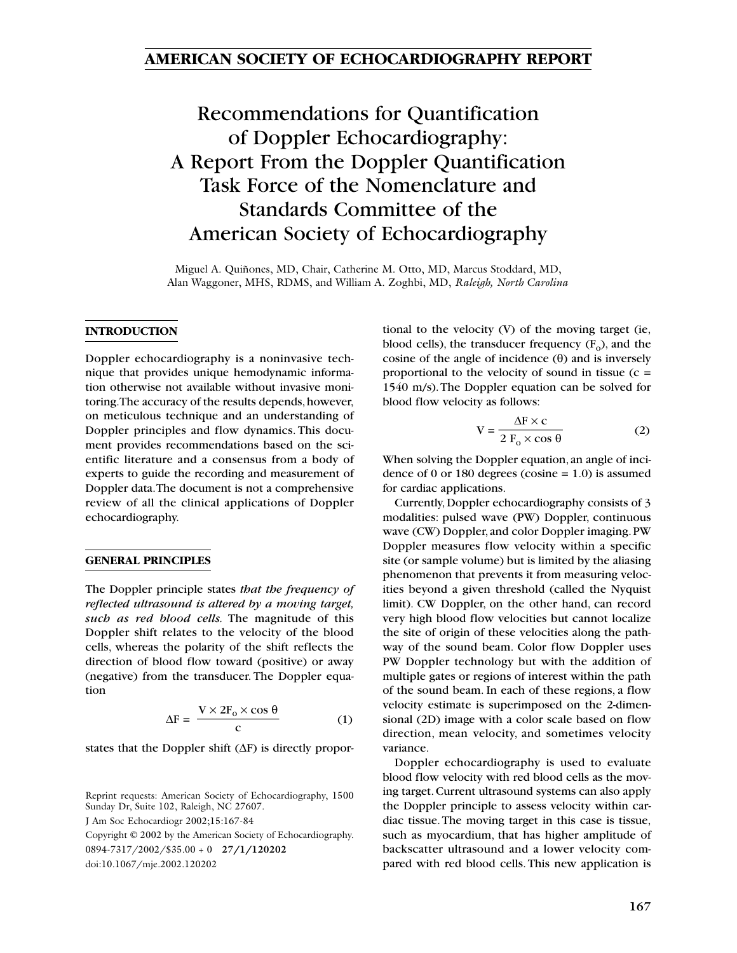#### **AMERICAN SOCIETY OF ECHOCARDIOGRAPHY REPORT**

## Recommendations for Quantification of Doppler Echocardiography: A Report From the Doppler Quantification Task Force of the Nomenclature and Standards Committee of the American Society of Echocardiography

Miguel A. Quiñones, MD, Chair, Catherine M. Otto, MD, Marcus Stoddard, MD, Alan Waggoner, MHS, RDMS, and William A. Zoghbi, MD, *Raleigh, North Carolina*

#### **INTRODUCTION**

Doppler echocardiography is a noninvasive technique that provides unique hemodynamic information otherwise not available without invasive monitoring.The accuracy of the results depends,however, on meticulous technique and an understanding of Doppler principles and flow dynamics. This document provides recommendations based on the scientific literature and a consensus from a body of experts to guide the recording and measurement of Doppler data.The document is not a comprehensive review of all the clinical applications of Doppler echocardiography.

#### **GENERAL PRINCIPLES**

The Doppler principle states *that the frequency of reflected ultrasound is altered by a moving target, such as red blood cells.* The magnitude of this Doppler shift relates to the velocity of the blood cells, whereas the polarity of the shift reflects the direction of blood flow toward (positive) or away (negative) from the transducer. The Doppler equation

$$
\Delta F = \frac{V \times 2F_0 \times \cos \theta}{c}
$$
 (1)

states that the Doppler shift (∆F) is directly propor-

Reprint requests: American Society of Echocardiography, 1500 Sunday Dr, Suite 102, Raleigh, NC 27607.

J Am Soc Echocardiogr 2002;15:167-84

Copyright © 2002 by the American Society of Echocardiography. 0894-7317/2002/\$35.00 + 0 **27/1/120202** doi:10.1067/mje.2002.120202

tional to the velocity (V) of the moving target (ie, blood cells), the transducer frequency  $(F_0)$ , and the cosine of the angle of incidence  $(θ)$  and is inversely proportional to the velocity of sound in tissue  $(c =$ 1540 m/s).The Doppler equation can be solved for blood flow velocity as follows:

$$
V = \frac{\Delta F \times c}{2 F_0 \times \cos \theta}
$$
 (2)

When solving the Doppler equation, an angle of incidence of 0 or 180 degrees (cosine  $= 1.0$ ) is assumed for cardiac applications.

Currently, Doppler echocardiography consists of 3 modalities: pulsed wave (PW) Doppler, continuous wave (CW) Doppler,and color Doppler imaging.PW Doppler measures flow velocity within a specific site (or sample volume) but is limited by the aliasing phenomenon that prevents it from measuring velocities beyond a given threshold (called the Nyquist limit). CW Doppler, on the other hand, can record very high blood flow velocities but cannot localize the site of origin of these velocities along the pathway of the sound beam. Color flow Doppler uses PW Doppler technology but with the addition of multiple gates or regions of interest within the path of the sound beam. In each of these regions, a flow velocity estimate is superimposed on the 2-dimensional (2D) image with a color scale based on flow direction, mean velocity, and sometimes velocity variance.

Doppler echocardiography is used to evaluate blood flow velocity with red blood cells as the moving target. Current ultrasound systems can also apply the Doppler principle to assess velocity within cardiac tissue.The moving target in this case is tissue, such as myocardium, that has higher amplitude of backscatter ultrasound and a lower velocity compared with red blood cells. This new application is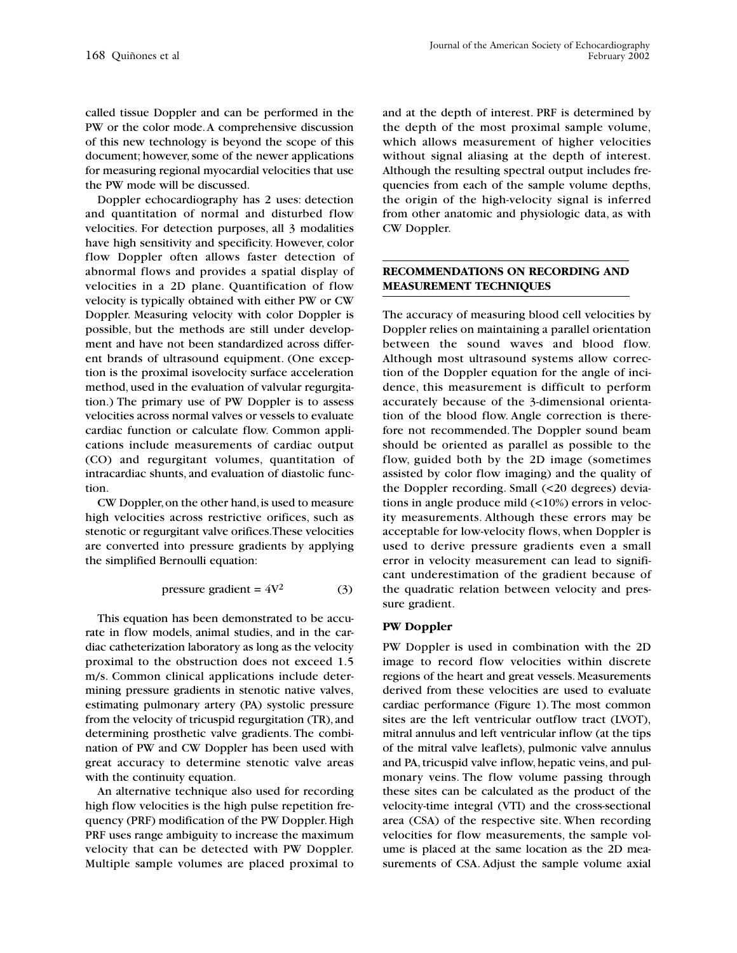called tissue Doppler and can be performed in the PW or the color mode.A comprehensive discussion of this new technology is beyond the scope of this document; however, some of the newer applications for measuring regional myocardial velocities that use the PW mode will be discussed.

Doppler echocardiography has 2 uses: detection and quantitation of normal and disturbed flow velocities. For detection purposes, all 3 modalities have high sensitivity and specificity. However, color flow Doppler often allows faster detection of abnormal flows and provides a spatial display of velocities in a 2D plane. Quantification of flow velocity is typically obtained with either PW or CW Doppler. Measuring velocity with color Doppler is possible, but the methods are still under development and have not been standardized across different brands of ultrasound equipment. (One exception is the proximal isovelocity surface acceleration method, used in the evaluation of valvular regurgitation.) The primary use of PW Doppler is to assess velocities across normal valves or vessels to evaluate cardiac function or calculate flow. Common applications include measurements of cardiac output (CO) and regurgitant volumes, quantitation of intracardiac shunts, and evaluation of diastolic function.

CW Doppler,on the other hand,is used to measure high velocities across restrictive orifices, such as stenotic or regurgitant valve orifices.These velocities are converted into pressure gradients by applying the simplified Bernoulli equation:

pressure gradient = 
$$
4V^2
$$
 (3)

This equation has been demonstrated to be accurate in flow models, animal studies, and in the cardiac catheterization laboratory as long as the velocity proximal to the obstruction does not exceed 1.5 m/s. Common clinical applications include determining pressure gradients in stenotic native valves, estimating pulmonary artery (PA) systolic pressure from the velocity of tricuspid regurgitation (TR), and determining prosthetic valve gradients. The combination of PW and CW Doppler has been used with great accuracy to determine stenotic valve areas with the continuity equation.

An alternative technique also used for recording high flow velocities is the high pulse repetition frequency (PRF) modification of the PW Doppler.High PRF uses range ambiguity to increase the maximum velocity that can be detected with PW Doppler. Multiple sample volumes are placed proximal to

and at the depth of interest. PRF is determined by the depth of the most proximal sample volume, which allows measurement of higher velocities without signal aliasing at the depth of interest. Although the resulting spectral output includes frequencies from each of the sample volume depths, the origin of the high-velocity signal is inferred from other anatomic and physiologic data, as with CW Doppler.

#### **RECOMMENDATIONS ON RECORDING AND MEASUREMENT TECHNIQUES**

The accuracy of measuring blood cell velocities by Doppler relies on maintaining a parallel orientation between the sound waves and blood flow. Although most ultrasound systems allow correction of the Doppler equation for the angle of incidence, this measurement is difficult to perform accurately because of the 3-dimensional orientation of the blood flow. Angle correction is therefore not recommended. The Doppler sound beam should be oriented as parallel as possible to the flow, guided both by the 2D image (sometimes assisted by color flow imaging) and the quality of the Doppler recording. Small (<20 degrees) deviations in angle produce mild (<10%) errors in velocity measurements. Although these errors may be acceptable for low-velocity flows, when Doppler is used to derive pressure gradients even a small error in velocity measurement can lead to significant underestimation of the gradient because of the quadratic relation between velocity and pressure gradient.

#### **PW Doppler**

PW Doppler is used in combination with the 2D image to record flow velocities within discrete regions of the heart and great vessels. Measurements derived from these velocities are used to evaluate cardiac performance (Figure 1). The most common sites are the left ventricular outflow tract (LVOT), mitral annulus and left ventricular inflow (at the tips of the mitral valve leaflets), pulmonic valve annulus and PA, tricuspid valve inflow, hepatic veins, and pulmonary veins. The flow volume passing through these sites can be calculated as the product of the velocity-time integral (VTI) and the cross-sectional area (CSA) of the respective site. When recording velocities for flow measurements, the sample volume is placed at the same location as the 2D measurements of CSA. Adjust the sample volume axial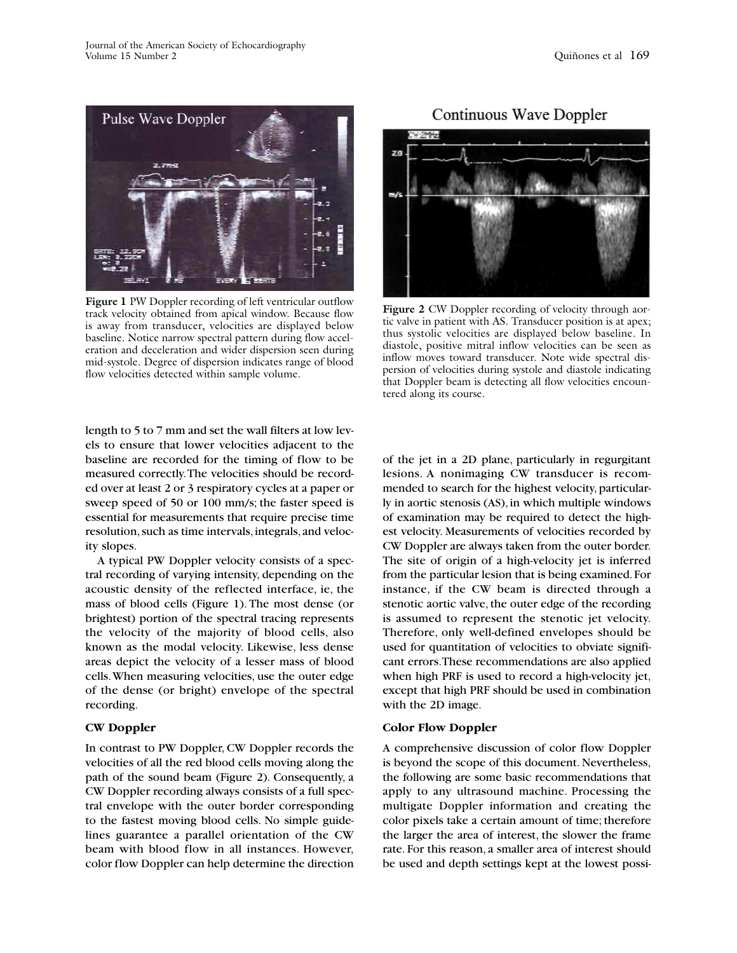

**Figure 1** PW Doppler recording of left ventricular outflow track velocity obtained from apical window. Because flow is away from transducer, velocities are displayed below baseline. Notice narrow spectral pattern during flow acceleration and deceleration and wider dispersion seen during mid-systole. Degree of dispersion indicates range of blood flow velocities detected within sample volume.

length to 5 to 7 mm and set the wall filters at low levels to ensure that lower velocities adjacent to the baseline are recorded for the timing of flow to be measured correctly.The velocities should be recorded over at least 2 or 3 respiratory cycles at a paper or sweep speed of 50 or 100 mm/s; the faster speed is essential for measurements that require precise time resolution, such as time intervals, integrals, and velocity slopes.

A typical PW Doppler velocity consists of a spectral recording of varying intensity, depending on the acoustic density of the reflected interface, ie, the mass of blood cells (Figure 1). The most dense (or brightest) portion of the spectral tracing represents the velocity of the majority of blood cells, also known as the modal velocity. Likewise, less dense areas depict the velocity of a lesser mass of blood cells.When measuring velocities, use the outer edge of the dense (or bright) envelope of the spectral recording.

#### **CW Doppler**

In contrast to PW Doppler, CW Doppler records the velocities of all the red blood cells moving along the path of the sound beam (Figure 2). Consequently, a CW Doppler recording always consists of a full spectral envelope with the outer border corresponding to the fastest moving blood cells. No simple guidelines guarantee a parallel orientation of the CW beam with blood flow in all instances. However, color flow Doppler can help determine the direction

#### Continuous Wave Doppler



**Figure 2** CW Doppler recording of velocity through aortic valve in patient with AS. Transducer position is at apex; thus systolic velocities are displayed below baseline. In diastole, positive mitral inflow velocities can be seen as inflow moves toward transducer. Note wide spectral dispersion of velocities during systole and diastole indicating that Doppler beam is detecting all flow velocities encountered along its course.

of the jet in a 2D plane, particularly in regurgitant lesions. A nonimaging CW transducer is recommended to search for the highest velocity, particularly in aortic stenosis (AS), in which multiple windows of examination may be required to detect the highest velocity. Measurements of velocities recorded by CW Doppler are always taken from the outer border. The site of origin of a high-velocity jet is inferred from the particular lesion that is being examined.For instance, if the CW beam is directed through a stenotic aortic valve, the outer edge of the recording is assumed to represent the stenotic jet velocity. Therefore, only well-defined envelopes should be used for quantitation of velocities to obviate significant errors.These recommendations are also applied when high PRF is used to record a high-velocity jet, except that high PRF should be used in combination with the 2D image.

#### **Color Flow Doppler**

A comprehensive discussion of color flow Doppler is beyond the scope of this document. Nevertheless, the following are some basic recommendations that apply to any ultrasound machine. Processing the multigate Doppler information and creating the color pixels take a certain amount of time; therefore the larger the area of interest, the slower the frame rate. For this reason, a smaller area of interest should be used and depth settings kept at the lowest possi-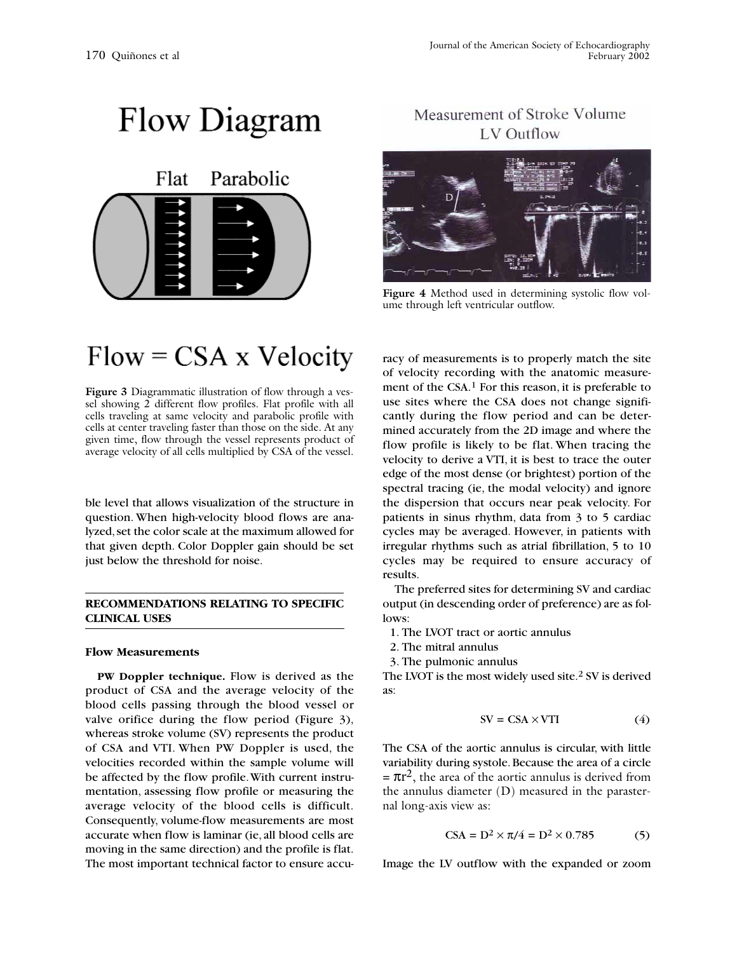# Flow Diagram



## Measurement of Stroke Volume LV Outflow



**Figure 4** Method used in determining systolic flow volume through left ventricular outflow.

## $Flow = CSA \times Velocity$

**Figure 3** Diagrammatic illustration of flow through a vessel showing 2 different flow profiles. Flat profile with all cells traveling at same velocity and parabolic profile with cells at center traveling faster than those on the side. At any given time, flow through the vessel represents product of average velocity of all cells multiplied by CSA of the vessel.

ble level that allows visualization of the structure in question. When high-velocity blood flows are analyzed,set the color scale at the maximum allowed for that given depth. Color Doppler gain should be set just below the threshold for noise.

#### **RECOMMENDATIONS RELATING TO SPECIFIC CLINICAL USES**

#### **Flow Measurements**

**PW Doppler technique.** Flow is derived as the product of CSA and the average velocity of the blood cells passing through the blood vessel or valve orifice during the flow period (Figure 3), whereas stroke volume (SV) represents the product of CSA and VTI. When PW Doppler is used, the velocities recorded within the sample volume will be affected by the flow profile.With current instrumentation, assessing flow profile or measuring the average velocity of the blood cells is difficult. Consequently, volume-flow measurements are most accurate when flow is laminar (ie, all blood cells are moving in the same direction) and the profile is flat. The most important technical factor to ensure accu-

racy of measurements is to properly match the site of velocity recording with the anatomic measurement of the CSA.<sup>1</sup> For this reason, it is preferable to use sites where the CSA does not change significantly during the flow period and can be determined accurately from the 2D image and where the flow profile is likely to be flat. When tracing the velocity to derive a VTI, it is best to trace the outer edge of the most dense (or brightest) portion of the spectral tracing (ie, the modal velocity) and ignore the dispersion that occurs near peak velocity. For patients in sinus rhythm, data from 3 to 5 cardiac cycles may be averaged. However, in patients with irregular rhythms such as atrial fibrillation, 5 to 10 cycles may be required to ensure accuracy of results.

The preferred sites for determining SV and cardiac output (in descending order of preference) are as follows:

- 1. The LVOT tract or aortic annulus
- 2. The mitral annulus
- 3. The pulmonic annulus

The LVOT is the most widely used site.<sup>2</sup> SV is derived as:

$$
SV = CSA \times VTI
$$
 (4)

The CSA of the aortic annulus is circular, with little variability during systole. Because the area of a circle  $=\pi r^2$ , the area of the aortic annulus is derived from the annulus diameter (D) measured in the parasternal long-axis view as:

$$
CSA = D^2 \times \pi/4 = D^2 \times 0.785
$$
 (5)

Image the LV outflow with the expanded or zoom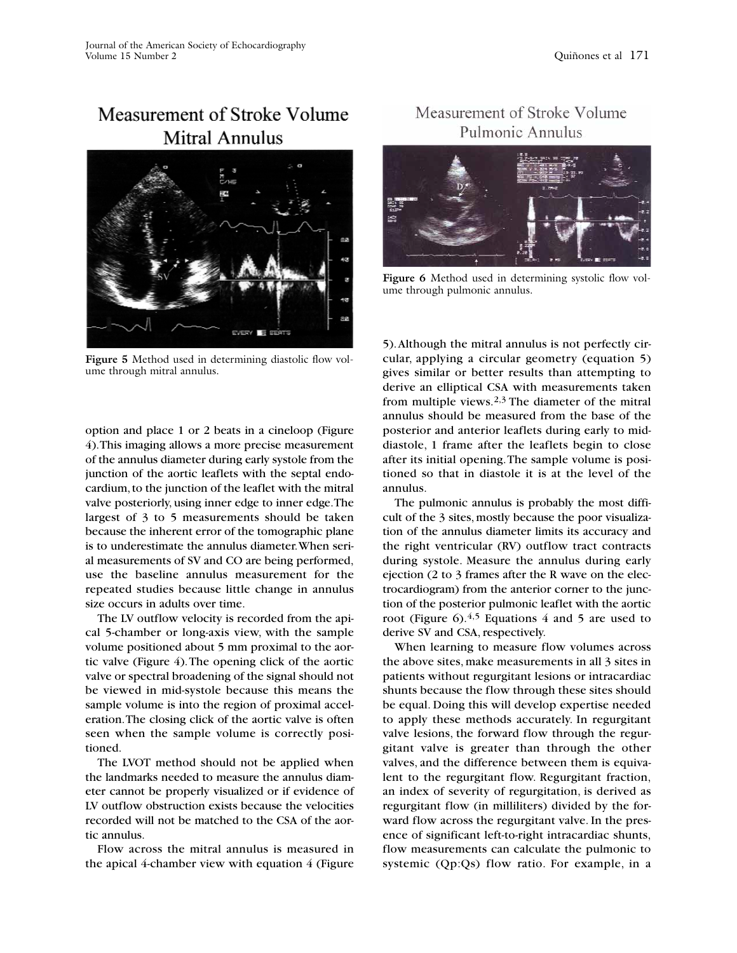## Measurement of Stroke Volume Mitral Annulus



**Figure 5** Method used in determining diastolic flow volume through mitral annulus.

option and place 1 or 2 beats in a cineloop (Figure 4).This imaging allows a more precise measurement of the annulus diameter during early systole from the junction of the aortic leaflets with the septal endocardium,to the junction of the leaflet with the mitral valve posteriorly, using inner edge to inner edge.The largest of 3 to 5 measurements should be taken because the inherent error of the tomographic plane is to underestimate the annulus diameter.When serial measurements of SV and CO are being performed, use the baseline annulus measurement for the repeated studies because little change in annulus size occurs in adults over time.

The LV outflow velocity is recorded from the apical 5-chamber or long-axis view, with the sample volume positioned about 5 mm proximal to the aortic valve (Figure 4).The opening click of the aortic valve or spectral broadening of the signal should not be viewed in mid-systole because this means the sample volume is into the region of proximal acceleration.The closing click of the aortic valve is often seen when the sample volume is correctly positioned.

The LVOT method should not be applied when the landmarks needed to measure the annulus diameter cannot be properly visualized or if evidence of LV outflow obstruction exists because the velocities recorded will not be matched to the CSA of the aortic annulus.

Flow across the mitral annulus is measured in the apical 4-chamber view with equation 4 (Figure

### Measurement of Stroke Volume Pulmonic Annulus



Figure 6 Method used in determining systolic flow volume through pulmonic annulus.

5).Although the mitral annulus is not perfectly circular, applying a circular geometry (equation 5) gives similar or better results than attempting to derive an elliptical CSA with measurements taken from multiple views.2,3 The diameter of the mitral annulus should be measured from the base of the posterior and anterior leaflets during early to middiastole, 1 frame after the leaflets begin to close after its initial opening.The sample volume is positioned so that in diastole it is at the level of the annulus.

The pulmonic annulus is probably the most difficult of the 3 sites, mostly because the poor visualization of the annulus diameter limits its accuracy and the right ventricular (RV) outflow tract contracts during systole. Measure the annulus during early ejection (2 to 3 frames after the R wave on the electrocardiogram) from the anterior corner to the junction of the posterior pulmonic leaflet with the aortic root (Figure 6).<sup>4,5</sup> Equations 4 and 5 are used to derive SV and CSA, respectively.

When learning to measure flow volumes across the above sites, make measurements in all 3 sites in patients without regurgitant lesions or intracardiac shunts because the flow through these sites should be equal. Doing this will develop expertise needed to apply these methods accurately. In regurgitant valve lesions, the forward flow through the regurgitant valve is greater than through the other valves, and the difference between them is equivalent to the regurgitant flow. Regurgitant fraction, an index of severity of regurgitation, is derived as regurgitant flow (in milliliters) divided by the forward flow across the regurgitant valve. In the presence of significant left-to-right intracardiac shunts, flow measurements can calculate the pulmonic to systemic (Qp:Qs) flow ratio. For example, in a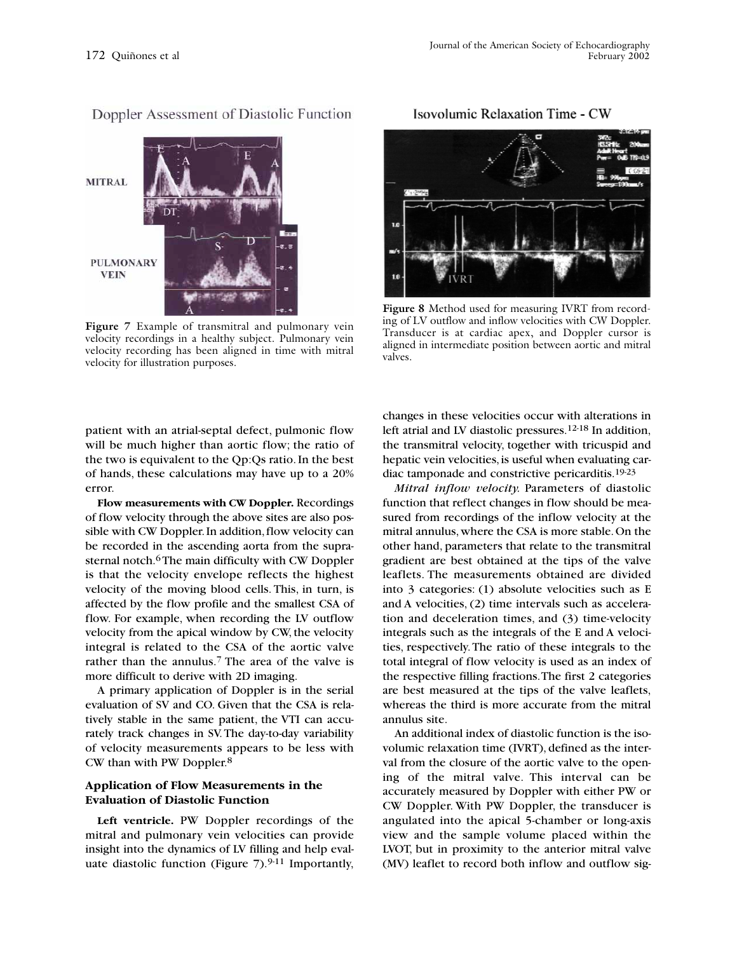**PULMONARY VEIN** 

# **MITRAL**

Doppler Assessment of Diastolic Function

**Figure 7** Example of transmitral and pulmonary vein velocity recordings in a healthy subject. Pulmonary vein velocity recording has been aligned in time with mitral velocity for illustration purposes.

patient with an atrial-septal defect, pulmonic flow will be much higher than aortic flow; the ratio of the two is equivalent to the Qp:Qs ratio. In the best of hands, these calculations may have up to a 20% error.

**Flow measurements with CW Doppler.** Recordings of flow velocity through the above sites are also possible with CW Doppler. In addition, flow velocity can be recorded in the ascending aorta from the suprasternal notch.<sup>6</sup>The main difficulty with CW Doppler is that the velocity envelope reflects the highest velocity of the moving blood cells. This, in turn, is affected by the flow profile and the smallest CSA of flow. For example, when recording the LV outflow velocity from the apical window by CW, the velocity integral is related to the CSA of the aortic valve rather than the annulus.<sup>7</sup> The area of the valve is more difficult to derive with 2D imaging.

A primary application of Doppler is in the serial evaluation of SV and CO. Given that the CSA is relatively stable in the same patient, the VTI can accurately track changes in SV. The day-to-day variability of velocity measurements appears to be less with CW than with PW Doppler.8

#### **Application of Flow Measurements in the Evaluation of Diastolic Function**

**Left ventricle.** PW Doppler recordings of the mitral and pulmonary vein velocities can provide insight into the dynamics of LV filling and help evaluate diastolic function (Figure  $7$ ).<sup>9-11</sup> Importantly,

#### Isovolumic Relaxation Time - CW



**Figure 8** Method used for measuring IVRT from recording of LV outflow and inflow velocities with CW Doppler. Transducer is at cardiac apex, and Doppler cursor is aligned in intermediate position between aortic and mitral valves.

changes in these velocities occur with alterations in left atrial and LV diastolic pressures.<sup>12-18</sup> In addition, the transmitral velocity, together with tricuspid and hepatic vein velocities, is useful when evaluating cardiac tamponade and constrictive pericarditis.19-23

*Mitral inflow velocity.* Parameters of diastolic function that reflect changes in flow should be measured from recordings of the inflow velocity at the mitral annulus,where the CSA is more stable.On the other hand, parameters that relate to the transmitral gradient are best obtained at the tips of the valve leaflets. The measurements obtained are divided into 3 categories: (1) absolute velocities such as E and A velocities, (2) time intervals such as acceleration and deceleration times, and (3) time-velocity integrals such as the integrals of the E and A velocities, respectively.The ratio of these integrals to the total integral of flow velocity is used as an index of the respective filling fractions.The first 2 categories are best measured at the tips of the valve leaflets, whereas the third is more accurate from the mitral annulus site.

An additional index of diastolic function is the isovolumic relaxation time (IVRT), defined as the interval from the closure of the aortic valve to the opening of the mitral valve. This interval can be accurately measured by Doppler with either PW or CW Doppler. With PW Doppler, the transducer is angulated into the apical 5-chamber or long-axis view and the sample volume placed within the LVOT, but in proximity to the anterior mitral valve (MV) leaflet to record both inflow and outflow sig-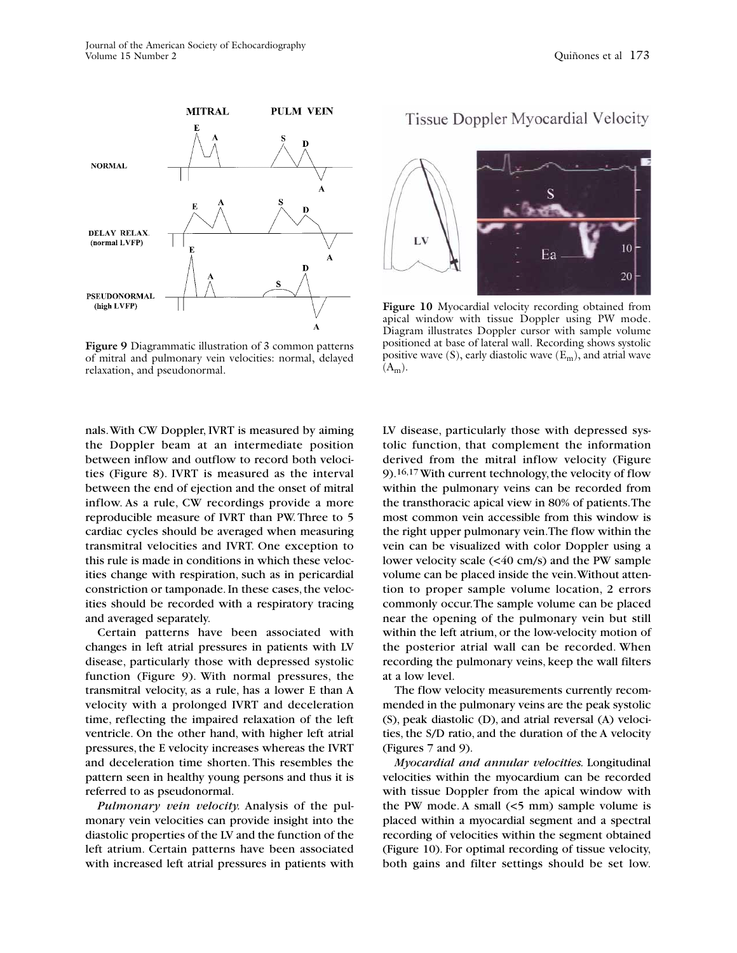**MITRAL PULM VEIN NORMAL** Ā **DELAY RELAX** (normal LVFP) **PSEUDONORMAL** (high LVFP)

**Figure 9** Diagrammatic illustration of 3 common patterns of mitral and pulmonary vein velocities: normal, delayed relaxation, and pseudonormal.

nals.With CW Doppler, IVRT is measured by aiming the Doppler beam at an intermediate position between inflow and outflow to record both velocities (Figure 8). IVRT is measured as the interval between the end of ejection and the onset of mitral inflow. As a rule, CW recordings provide a more reproducible measure of IVRT than PW. Three to 5 cardiac cycles should be averaged when measuring transmitral velocities and IVRT. One exception to this rule is made in conditions in which these velocities change with respiration, such as in pericardial constriction or tamponade. In these cases, the velocities should be recorded with a respiratory tracing and averaged separately.

Certain patterns have been associated with changes in left atrial pressures in patients with LV disease, particularly those with depressed systolic function (Figure 9). With normal pressures, the transmitral velocity, as a rule, has a lower E than A velocity with a prolonged IVRT and deceleration time, reflecting the impaired relaxation of the left ventricle. On the other hand, with higher left atrial pressures, the E velocity increases whereas the IVRT and deceleration time shorten. This resembles the pattern seen in healthy young persons and thus it is referred to as pseudonormal.

*Pulmonary vein velocity.* Analysis of the pulmonary vein velocities can provide insight into the diastolic properties of the LV and the function of the left atrium. Certain patterns have been associated with increased left atrial pressures in patients with

#### **Tissue Doppler Myocardial Velocity**

LV Ea 20 **Figure 10** Myocardial velocity recording obtained from apical window with tissue Doppler using PW mode. Diagram illustrates Doppler cursor with sample volume positioned at base of lateral wall. Recording shows systolic positive wave  $(S)$ , early diastolic wave  $(E_m)$ , and atrial wave

LV disease, particularly those with depressed systolic function, that complement the information derived from the mitral inflow velocity (Figure 9).<sup>16,17</sup> With current technology, the velocity of flow within the pulmonary veins can be recorded from the transthoracic apical view in 80% of patients.The most common vein accessible from this window is the right upper pulmonary vein.The flow within the vein can be visualized with color Doppler using a lower velocity scale (<40 cm/s) and the PW sample volume can be placed inside the vein.Without attention to proper sample volume location, 2 errors commonly occur.The sample volume can be placed near the opening of the pulmonary vein but still within the left atrium, or the low-velocity motion of the posterior atrial wall can be recorded. When recording the pulmonary veins, keep the wall filters at a low level.

The flow velocity measurements currently recommended in the pulmonary veins are the peak systolic (S), peak diastolic (D), and atrial reversal (A) velocities, the S/D ratio, and the duration of the A velocity (Figures 7 and 9).

*Myocardial and annular velocities.* Longitudinal velocities within the myocardium can be recorded with tissue Doppler from the apical window with the PW mode. A small  $(5 \text{ mm})$  sample volume is placed within a myocardial segment and a spectral recording of velocities within the segment obtained (Figure 10). For optimal recording of tissue velocity, both gains and filter settings should be set low.



 $(A<sub>m</sub>)$ .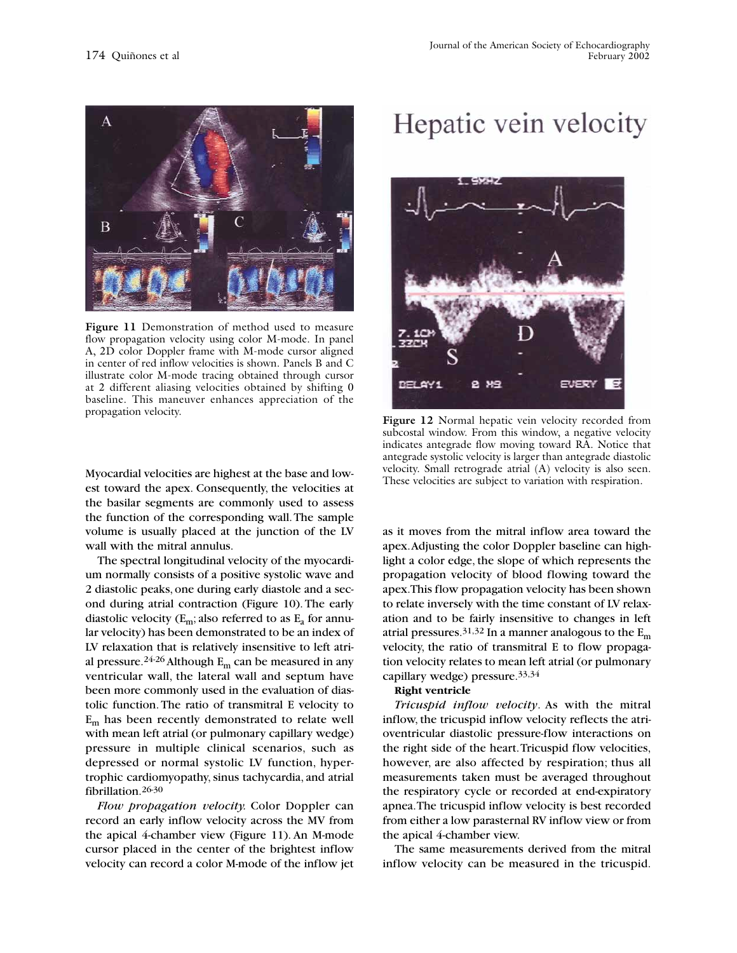

**Figure 11** Demonstration of method used to measure flow propagation velocity using color M-mode. In panel A, 2D color Doppler frame with M-mode cursor aligned in center of red inflow velocities is shown. Panels B and C illustrate color M-mode tracing obtained through cursor at 2 different aliasing velocities obtained by shifting 0 baseline. This maneuver enhances appreciation of the

Myocardial velocities are highest at the base and lowest toward the apex. Consequently, the velocities at the basilar segments are commonly used to assess the function of the corresponding wall.The sample volume is usually placed at the junction of the LV wall with the mitral annulus.

The spectral longitudinal velocity of the myocardium normally consists of a positive systolic wave and 2 diastolic peaks, one during early diastole and a second during atrial contraction (Figure 10). The early diastolic velocity ( $E_m$ ; also referred to as  $E_a$  for annular velocity) has been demonstrated to be an index of LV relaxation that is relatively insensitive to left atrial pressure.<sup>24-26</sup> Although  $E_m$  can be measured in any ventricular wall, the lateral wall and septum have been more commonly used in the evaluation of diastolic function. The ratio of transmitral E velocity to  $E_m$  has been recently demonstrated to relate well with mean left atrial (or pulmonary capillary wedge) pressure in multiple clinical scenarios, such as depressed or normal systolic LV function, hypertrophic cardiomyopathy, sinus tachycardia, and atrial fibrillation.26-30

*Flow propagation velocity.* Color Doppler can record an early inflow velocity across the MV from the apical 4-chamber view (Figure 11). An M-mode cursor placed in the center of the brightest inflow velocity can record a color M-mode of the inflow jet

## Hepatic vein velocity



propagation velocity. **Figure 12** Normal hepatic vein velocity recorded from subcostal window. From this window, a negative velocity indicates antegrade flow moving toward RA. Notice that antegrade systolic velocity is larger than antegrade diastolic velocity. Small retrograde atrial (A) velocity is also seen. These velocities are subject to variation with respiration.

as it moves from the mitral inflow area toward the apex.Adjusting the color Doppler baseline can highlight a color edge, the slope of which represents the propagation velocity of blood flowing toward the apex.This flow propagation velocity has been shown to relate inversely with the time constant of LV relaxation and to be fairly insensitive to changes in left atrial pressures.<sup>31,32</sup> In a manner analogous to the  $E_m$ velocity, the ratio of transmitral E to flow propagation velocity relates to mean left atrial (or pulmonary capillary wedge) pressure.33,34

#### **Right ventricle**

*Tricuspid inflow velocity*. As with the mitral inflow, the tricuspid inflow velocity reflects the atrioventricular diastolic pressure-flow interactions on the right side of the heart.Tricuspid flow velocities, however, are also affected by respiration; thus all measurements taken must be averaged throughout the respiratory cycle or recorded at end-expiratory apnea.The tricuspid inflow velocity is best recorded from either a low parasternal RV inflow view or from the apical 4-chamber view.

The same measurements derived from the mitral inflow velocity can be measured in the tricuspid.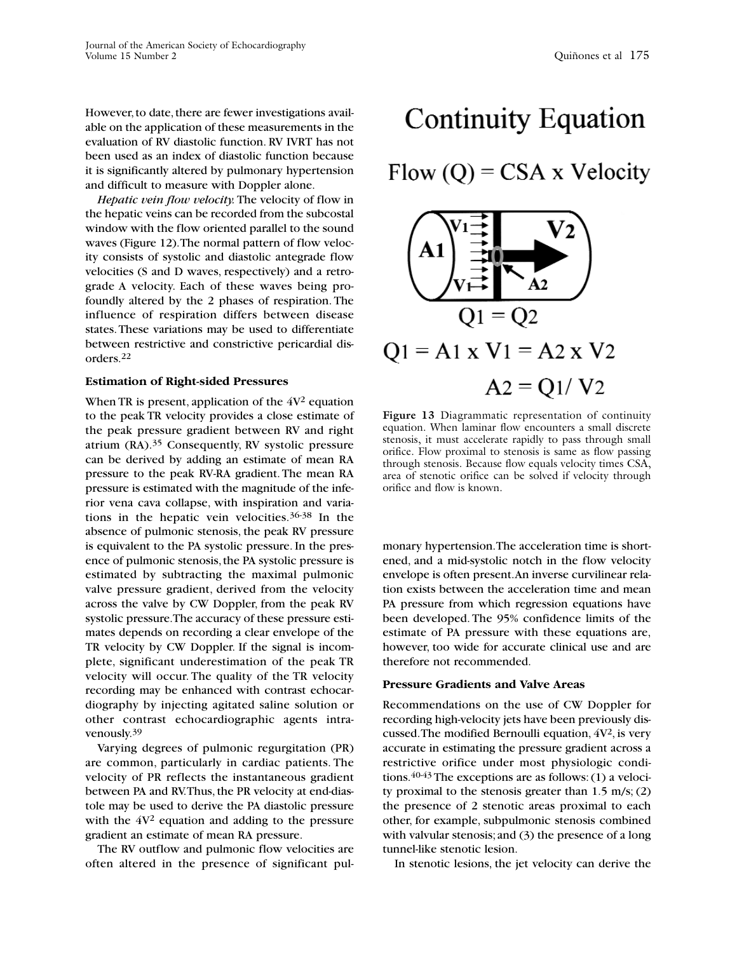However, to date, there are fewer investigations available on the application of these measurements in the evaluation of RV diastolic function. RV IVRT has not been used as an index of diastolic function because it is significantly altered by pulmonary hypertension and difficult to measure with Doppler alone.

*Hepatic vein flow velocity.* The velocity of flow in the hepatic veins can be recorded from the subcostal window with the flow oriented parallel to the sound waves (Figure 12).The normal pattern of flow velocity consists of systolic and diastolic antegrade flow velocities (S and D waves, respectively) and a retrograde A velocity. Each of these waves being profoundly altered by the 2 phases of respiration. The influence of respiration differs between disease states.These variations may be used to differentiate between restrictive and constrictive pericardial disorders.22

#### **Estimation of Right-sided Pressures**

When TR is present, application of the  $4V<sup>2</sup>$  equation to the peak TR velocity provides a close estimate of the peak pressure gradient between RV and right atrium (RA).35 Consequently, RV systolic pressure can be derived by adding an estimate of mean RA pressure to the peak RV-RA gradient. The mean RA pressure is estimated with the magnitude of the inferior vena cava collapse, with inspiration and variations in the hepatic vein velocities.36-38 In the absence of pulmonic stenosis, the peak RV pressure is equivalent to the PA systolic pressure. In the presence of pulmonic stenosis,the PA systolic pressure is estimated by subtracting the maximal pulmonic valve pressure gradient, derived from the velocity across the valve by CW Doppler, from the peak RV systolic pressure.The accuracy of these pressure estimates depends on recording a clear envelope of the TR velocity by CW Doppler. If the signal is incomplete, significant underestimation of the peak TR velocity will occur. The quality of the TR velocity recording may be enhanced with contrast echocardiography by injecting agitated saline solution or other contrast echocardiographic agents intravenously.39

Varying degrees of pulmonic regurgitation (PR) are common, particularly in cardiac patients. The velocity of PR reflects the instantaneous gradient between PA and RV.Thus, the PR velocity at end-diastole may be used to derive the PA diastolic pressure with the  $4V^2$  equation and adding to the pressure gradient an estimate of mean RA pressure.

The RV outflow and pulmonic flow velocities are often altered in the presence of significant pul-

## **Continuity Equation**

 $Flow(Q) = CSA \times Velocity$ 



**Figure 13** Diagrammatic representation of continuity equation. When laminar flow encounters a small discrete stenosis, it must accelerate rapidly to pass through small orifice. Flow proximal to stenosis is same as flow passing through stenosis. Because flow equals velocity times CSA, area of stenotic orifice can be solved if velocity through orifice and flow is known.

monary hypertension.The acceleration time is shortened, and a mid-systolic notch in the flow velocity envelope is often present.An inverse curvilinear relation exists between the acceleration time and mean PA pressure from which regression equations have been developed. The 95% confidence limits of the estimate of PA pressure with these equations are, however, too wide for accurate clinical use and are therefore not recommended.

#### **Pressure Gradients and Valve Areas**

Recommendations on the use of CW Doppler for recording high-velocity jets have been previously discussed. The modified Bernoulli equation,  $4V^2$ , is very accurate in estimating the pressure gradient across a restrictive orifice under most physiologic conditions. $40-43$  The exceptions are as follows: (1) a velocity proximal to the stenosis greater than 1.5 m/s; (2) the presence of 2 stenotic areas proximal to each other, for example, subpulmonic stenosis combined with valvular stenosis; and (3) the presence of a long tunnel-like stenotic lesion.

In stenotic lesions, the jet velocity can derive the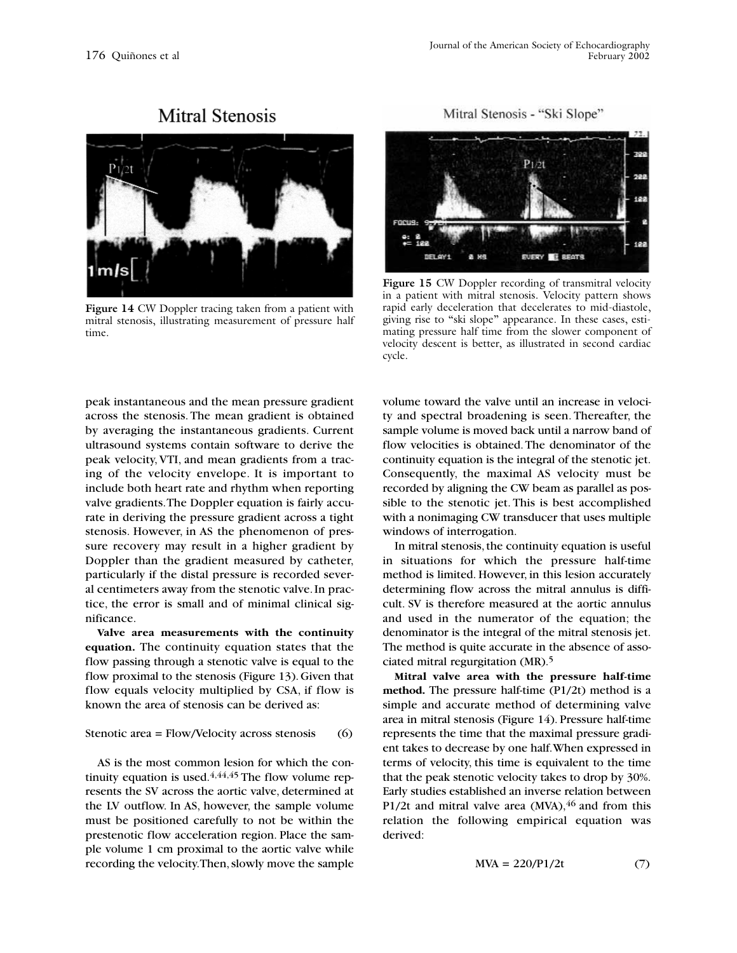**Mitral Stenosis** 

**Figure 14** CW Doppler tracing taken from a patient with mitral stenosis, illustrating measurement of pressure half time.

Mitral Stenosis - "Ski Slope"



**Figure 15** CW Doppler recording of transmitral velocity in a patient with mitral stenosis. Velocity pattern shows rapid early deceleration that decelerates to mid-diastole, giving rise to "ski slope" appearance. In these cases, estimating pressure half time from the slower component of velocity descent is better, as illustrated in second cardiac cycle.

peak instantaneous and the mean pressure gradient across the stenosis. The mean gradient is obtained by averaging the instantaneous gradients. Current ultrasound systems contain software to derive the peak velocity, VTI, and mean gradients from a tracing of the velocity envelope. It is important to include both heart rate and rhythm when reporting valve gradients.The Doppler equation is fairly accurate in deriving the pressure gradient across a tight stenosis. However, in AS the phenomenon of pressure recovery may result in a higher gradient by Doppler than the gradient measured by catheter, particularly if the distal pressure is recorded several centimeters away from the stenotic valve.In practice, the error is small and of minimal clinical significance.

**Valve area measurements with the continuity equation.** The continuity equation states that the flow passing through a stenotic valve is equal to the flow proximal to the stenosis (Figure 13). Given that flow equals velocity multiplied by CSA, if flow is known the area of stenosis can be derived as:

#### Stenotic area = Flow/Velocity across stenosis (6)

AS is the most common lesion for which the continuity equation is used. $4,44,45$  The flow volume represents the SV across the aortic valve, determined at the LV outflow. In AS, however, the sample volume must be positioned carefully to not be within the prestenotic flow acceleration region. Place the sample volume 1 cm proximal to the aortic valve while recording the velocity.Then, slowly move the sample

volume toward the valve until an increase in velocity and spectral broadening is seen. Thereafter, the sample volume is moved back until a narrow band of flow velocities is obtained.The denominator of the continuity equation is the integral of the stenotic jet. Consequently, the maximal AS velocity must be recorded by aligning the CW beam as parallel as possible to the stenotic jet. This is best accomplished with a nonimaging CW transducer that uses multiple windows of interrogation.

In mitral stenosis, the continuity equation is useful in situations for which the pressure half-time method is limited. However, in this lesion accurately determining flow across the mitral annulus is difficult. SV is therefore measured at the aortic annulus and used in the numerator of the equation; the denominator is the integral of the mitral stenosis jet. The method is quite accurate in the absence of associated mitral regurgitation (MR).5

**Mitral valve area with the pressure half-time method.** The pressure half-time (P1/2t) method is a simple and accurate method of determining valve area in mitral stenosis (Figure 14). Pressure half-time represents the time that the maximal pressure gradient takes to decrease by one half.When expressed in terms of velocity, this time is equivalent to the time that the peak stenotic velocity takes to drop by 30%. Early studies established an inverse relation between P1/2t and mitral valve area  $(MVA)$ , <sup>46</sup> and from this relation the following empirical equation was derived:

$$
MVA = 220/P1/2t \tag{7}
$$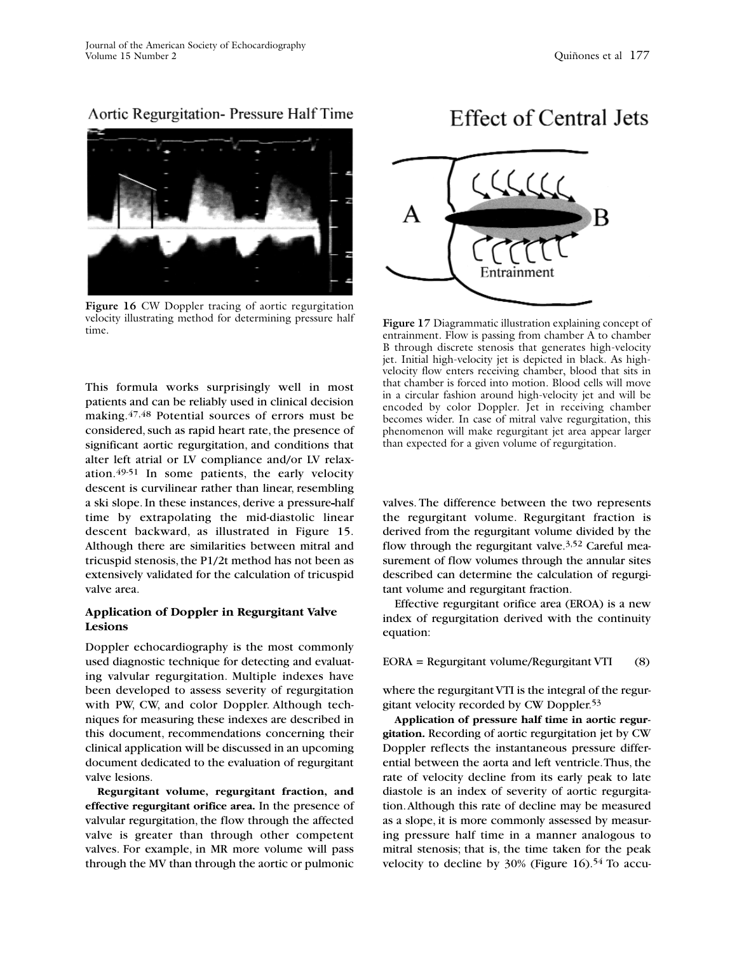Aortic Regurgitation- Pressure Half Time

**Figure 16** CW Doppler tracing of aortic regurgitation velocity illustrating method for determining pressure half

This formula works surprisingly well in most patients and can be reliably used in clinical decision making.47,48 Potential sources of errors must be considered, such as rapid heart rate, the presence of significant aortic regurgitation, and conditions that alter left atrial or LV compliance and/or LV relaxation.49-51 In some patients, the early velocity descent is curvilinear rather than linear, resembling a ski slope. In these instances, derive a pressure half time by extrapolating the mid-diastolic linear descent backward, as illustrated in Figure 15. Although there are similarities between mitral and tricuspid stenosis, the P1/2t method has not been as extensively validated for the calculation of tricuspid valve area.

#### **Application of Doppler in Regurgitant Valve Lesions**

Doppler echocardiography is the most commonly used diagnostic technique for detecting and evaluating valvular regurgitation. Multiple indexes have been developed to assess severity of regurgitation with PW, CW, and color Doppler. Although techniques for measuring these indexes are described in this document, recommendations concerning their clinical application will be discussed in an upcoming document dedicated to the evaluation of regurgitant valve lesions.

**Regurgitant volume, regurgitant fraction, and effective regurgitant orifice area.** In the presence of valvular regurgitation, the flow through the affected valve is greater than through other competent valves. For example, in MR more volume will pass through the MV than through the aortic or pulmonic

## **Effect of Central Jets**



velocity illustrating method for determining pressure nair<br> **Figure 17** Diagrammatic illustration explaining concept of time. entrainment. Flow is passing from chamber A to chamber B through discrete stenosis that generates high-velocity jet. Initial high-velocity jet is depicted in black. As highvelocity flow enters receiving chamber, blood that sits in that chamber is forced into motion. Blood cells will move in a circular fashion around high-velocity jet and will be encoded by color Doppler. Jet in receiving chamber becomes wider. In case of mitral valve regurgitation, this phenomenon will make regurgitant jet area appear larger than expected for a given volume of regurgitation.

> valves. The difference between the two represents the regurgitant volume. Regurgitant fraction is derived from the regurgitant volume divided by the flow through the regurgitant valve.<sup>3,52</sup> Careful measurement of flow volumes through the annular sites described can determine the calculation of regurgitant volume and regurgitant fraction.

> Effective regurgitant orifice area (EROA) is a new index of regurgitation derived with the continuity equation:

#### EORA = Regurgitant volume/Regurgitant VTI (8)

where the regurgitant VTI is the integral of the regurgitant velocity recorded by CW Doppler.53

**Application of pressure half time in aortic regurgitation.** Recording of aortic regurgitation jet by CW Doppler reflects the instantaneous pressure differential between the aorta and left ventricle.Thus, the rate of velocity decline from its early peak to late diastole is an index of severity of aortic regurgitation.Although this rate of decline may be measured as a slope, it is more commonly assessed by measuring pressure half time in a manner analogous to mitral stenosis; that is, the time taken for the peak velocity to decline by  $30\%$  (Figure 16).<sup>54</sup> To accu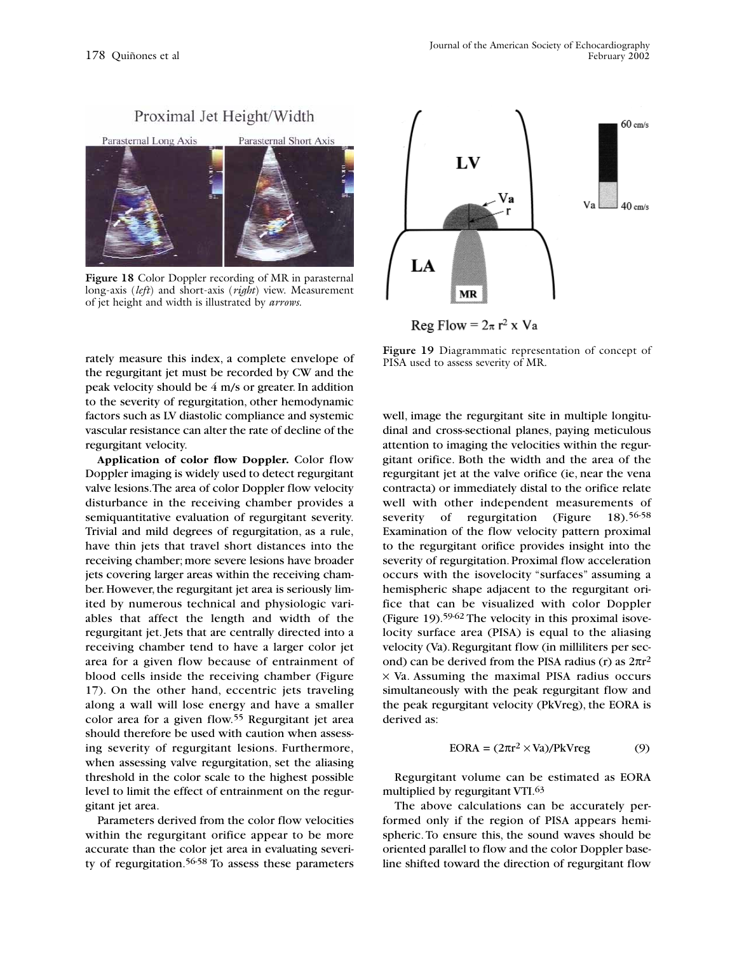Proximal Jet Height/Width



**Figure 18** Color Doppler recording of MR in parasternal long-axis (*left*) and short-axis (*right*) view. Measurement of jet height and width is illustrated by *arrows*.

rately measure this index, a complete envelope of the regurgitant jet must be recorded by CW and the peak velocity should be 4 m/s or greater. In addition to the severity of regurgitation, other hemodynamic factors such as LV diastolic compliance and systemic vascular resistance can alter the rate of decline of the regurgitant velocity.

**Application of color flow Doppler.** Color flow Doppler imaging is widely used to detect regurgitant valve lesions.The area of color Doppler flow velocity disturbance in the receiving chamber provides a semiquantitative evaluation of regurgitant severity. Trivial and mild degrees of regurgitation, as a rule, have thin jets that travel short distances into the receiving chamber; more severe lesions have broader jets covering larger areas within the receiving chamber. However, the regurgitant jet area is seriously limited by numerous technical and physiologic variables that affect the length and width of the regurgitant jet. Jets that are centrally directed into a receiving chamber tend to have a larger color jet area for a given flow because of entrainment of blood cells inside the receiving chamber (Figure 17). On the other hand, eccentric jets traveling along a wall will lose energy and have a smaller color area for a given flow.55 Regurgitant jet area should therefore be used with caution when assessing severity of regurgitant lesions. Furthermore, when assessing valve regurgitation, set the aliasing threshold in the color scale to the highest possible level to limit the effect of entrainment on the regurgitant jet area.

Parameters derived from the color flow velocities within the regurgitant orifice appear to be more accurate than the color jet area in evaluating severity of regurgitation.56-58 To assess these parameters



**Figure 19** Diagrammatic representation of concept of PISA used to assess severity of MR.

well, image the regurgitant site in multiple longitudinal and cross-sectional planes, paying meticulous attention to imaging the velocities within the regurgitant orifice. Both the width and the area of the regurgitant jet at the valve orifice (ie, near the vena contracta) or immediately distal to the orifice relate well with other independent measurements of severity of regurgitation (Figure 18).<sup>56-58</sup> Examination of the flow velocity pattern proximal to the regurgitant orifice provides insight into the severity of regurgitation. Proximal flow acceleration occurs with the isovelocity "surfaces" assuming a hemispheric shape adjacent to the regurgitant orifice that can be visualized with color Doppler (Figure 19).59-62 The velocity in this proximal isovelocity surface area (PISA) is equal to the aliasing velocity (Va). Regurgitant flow (in milliliters per second) can be derived from the PISA radius (r) as  $2\pi r^2$  $\times$  Va. Assuming the maximal PISA radius occurs simultaneously with the peak regurgitant flow and the peak regurgitant velocity (PkVreg), the EORA is derived as:

$$
EORA = (2\pi r^2 \times Va)/PkVreg
$$
 (9)

Regurgitant volume can be estimated as EORA multiplied by regurgitant VTI.<sup>63</sup>

The above calculations can be accurately performed only if the region of PISA appears hemispheric. To ensure this, the sound waves should be oriented parallel to flow and the color Doppler baseline shifted toward the direction of regurgitant flow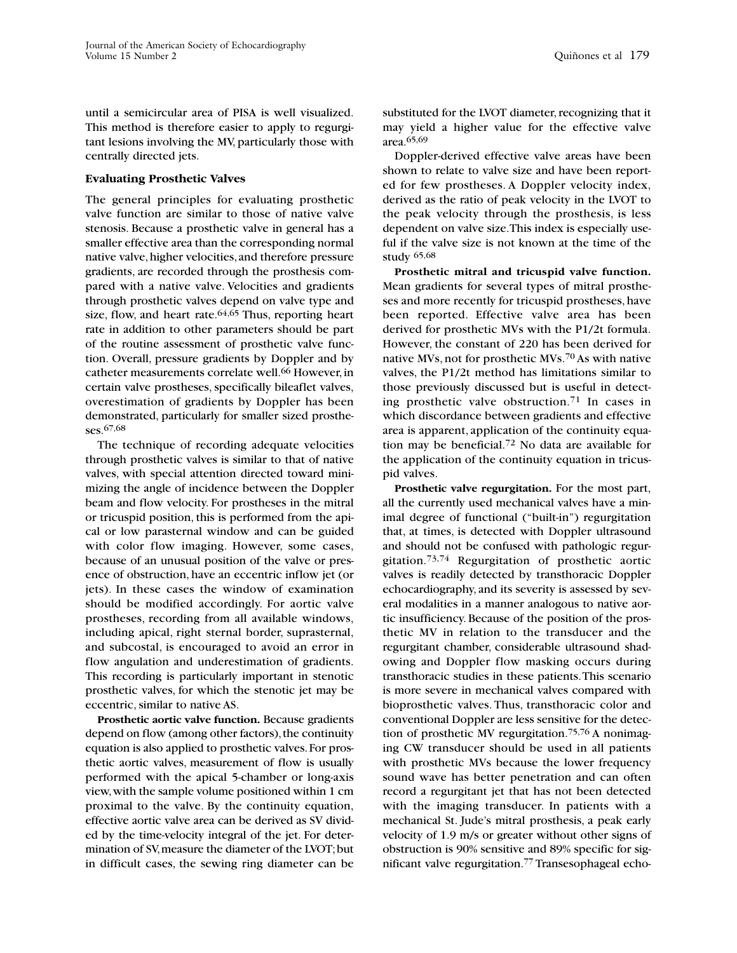until a semicircular area of PISA is well visualized. This method is therefore easier to apply to regurgitant lesions involving the MV, particularly those with centrally directed jets.

#### **Evaluating Prosthetic Valves**

The general principles for evaluating prosthetic valve function are similar to those of native valve stenosis. Because a prosthetic valve in general has a smaller effective area than the corresponding normal native valve,higher velocities,and therefore pressure gradients, are recorded through the prosthesis compared with a native valve. Velocities and gradients through prosthetic valves depend on valve type and size, flow, and heart rate. $64,65$  Thus, reporting heart rate in addition to other parameters should be part of the routine assessment of prosthetic valve function. Overall, pressure gradients by Doppler and by catheter measurements correlate well.<sup>66</sup> However, in certain valve prostheses, specifically bileaflet valves, overestimation of gradients by Doppler has been demonstrated, particularly for smaller sized prostheses.67,68

The technique of recording adequate velocities through prosthetic valves is similar to that of native valves, with special attention directed toward minimizing the angle of incidence between the Doppler beam and flow velocity. For prostheses in the mitral or tricuspid position, this is performed from the apical or low parasternal window and can be guided with color flow imaging. However, some cases, because of an unusual position of the valve or presence of obstruction, have an eccentric inflow jet (or jets). In these cases the window of examination should be modified accordingly. For aortic valve prostheses, recording from all available windows, including apical, right sternal border, suprasternal, and subcostal, is encouraged to avoid an error in flow angulation and underestimation of gradients. This recording is particularly important in stenotic prosthetic valves, for which the stenotic jet may be eccentric, similar to native AS.

**Prosthetic aortic valve function.** Because gradients depend on flow (among other factors), the continuity equation is also applied to prosthetic valves.For prosthetic aortic valves, measurement of flow is usually performed with the apical 5-chamber or long-axis view,with the sample volume positioned within 1 cm proximal to the valve. By the continuity equation, effective aortic valve area can be derived as SV divided by the time-velocity integral of the jet. For determination of SV,measure the diameter of the LVOT;but in difficult cases, the sewing ring diameter can be

substituted for the LVOT diameter, recognizing that it may yield a higher value for the effective valve area.65,69

Doppler-derived effective valve areas have been shown to relate to valve size and have been reported for few prostheses. A Doppler velocity index, derived as the ratio of peak velocity in the LVOT to the peak velocity through the prosthesis, is less dependent on valve size.This index is especially useful if the valve size is not known at the time of the study 65,68

**Prosthetic mitral and tricuspid valve function.** Mean gradients for several types of mitral prostheses and more recently for tricuspid prostheses, have been reported. Effective valve area has been derived for prosthetic MVs with the P1/2t formula. However, the constant of 220 has been derived for native MVs, not for prosthetic MVs.70 As with native valves, the P1/2t method has limitations similar to those previously discussed but is useful in detecting prosthetic valve obstruction.71 In cases in which discordance between gradients and effective area is apparent, application of the continuity equation may be beneficial.72 No data are available for the application of the continuity equation in tricuspid valves.

**Prosthetic valve regurgitation.** For the most part, all the currently used mechanical valves have a minimal degree of functional ("built-in") regurgitation that, at times, is detected with Doppler ultrasound and should not be confused with pathologic regurgitation.73,74 Regurgitation of prosthetic aortic valves is readily detected by transthoracic Doppler echocardiography, and its severity is assessed by several modalities in a manner analogous to native aortic insufficiency. Because of the position of the prosthetic MV in relation to the transducer and the regurgitant chamber, considerable ultrasound shadowing and Doppler flow masking occurs during transthoracic studies in these patients.This scenario is more severe in mechanical valves compared with bioprosthetic valves. Thus, transthoracic color and conventional Doppler are less sensitive for the detection of prosthetic MV regurgitation.<sup>75,76</sup> A nonimaging CW transducer should be used in all patients with prosthetic MVs because the lower frequency sound wave has better penetration and can often record a regurgitant jet that has not been detected with the imaging transducer. In patients with a mechanical St. Jude's mitral prosthesis, a peak early velocity of 1.9 m/s or greater without other signs of obstruction is 90% sensitive and 89% specific for significant valve regurgitation.77 Transesophageal echo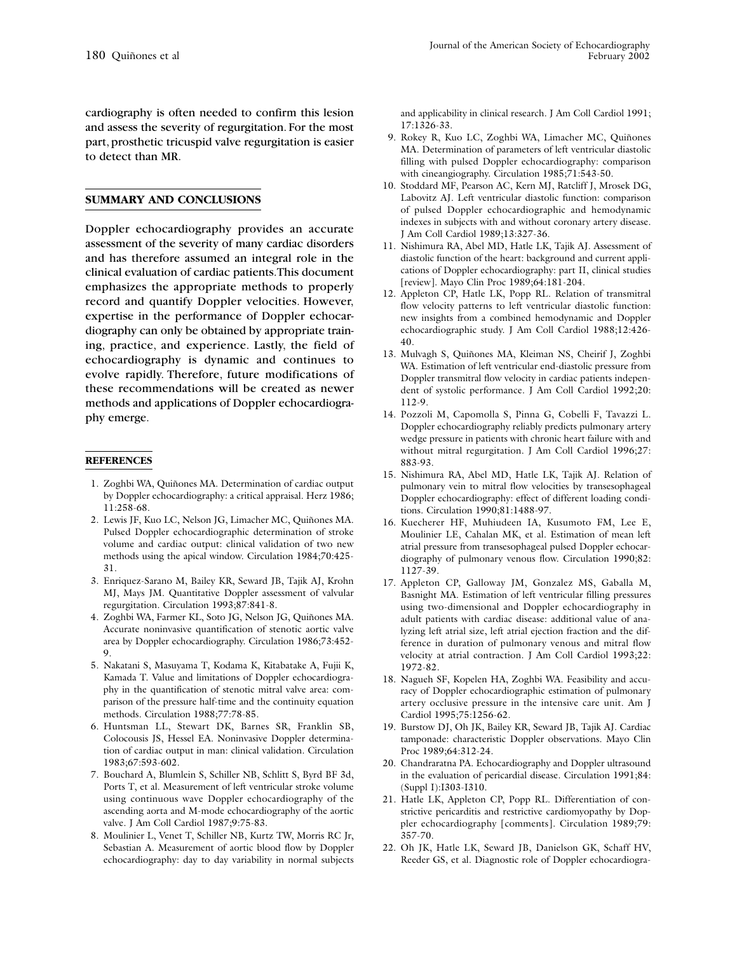cardiography is often needed to confirm this lesion and assess the severity of regurgitation. For the most part, prosthetic tricuspid valve regurgitation is easier to detect than MR.

#### **SUMMARY AND CONCLUSIONS**

Doppler echocardiography provides an accurate assessment of the severity of many cardiac disorders and has therefore assumed an integral role in the clinical evaluation of cardiac patients.This document emphasizes the appropriate methods to properly record and quantify Doppler velocities. However, expertise in the performance of Doppler echocardiography can only be obtained by appropriate training, practice, and experience. Lastly, the field of echocardiography is dynamic and continues to evolve rapidly. Therefore, future modifications of these recommendations will be created as newer methods and applications of Doppler echocardiography emerge.

#### **REFERENCES**

- 1. Zoghbi WA, Quiñones MA. Determination of cardiac output by Doppler echocardiography: a critical appraisal. Herz 1986; 11:258-68.
- 2. Lewis JF, Kuo LC, Nelson JG, Limacher MC, Quiñones MA. Pulsed Doppler echocardiographic determination of stroke volume and cardiac output: clinical validation of two new methods using the apical window. Circulation 1984;70:425- 31.
- 3. Enriquez-Sarano M, Bailey KR, Seward JB, Tajik AJ, Krohn MJ, Mays JM. Quantitative Doppler assessment of valvular regurgitation. Circulation 1993;87:841-8.
- 4. Zoghbi WA, Farmer KL, Soto JG, Nelson JG, Quiñones MA. Accurate noninvasive quantification of stenotic aortic valve area by Doppler echocardiography. Circulation 1986;73:452- 9.
- 5. Nakatani S, Masuyama T, Kodama K, Kitabatake A, Fujii K, Kamada T. Value and limitations of Doppler echocardiography in the quantification of stenotic mitral valve area: comparison of the pressure half-time and the continuity equation methods. Circulation 1988;77:78-85.
- 6. Huntsman LL, Stewart DK, Barnes SR, Franklin SB, Colocousis JS, Hessel EA. Noninvasive Doppler determination of cardiac output in man: clinical validation. Circulation 1983;67:593-602.
- 7. Bouchard A, Blumlein S, Schiller NB, Schlitt S, Byrd BF 3d, Ports T, et al. Measurement of left ventricular stroke volume using continuous wave Doppler echocardiography of the ascending aorta and M-mode echocardiography of the aortic valve. J Am Coll Cardiol 1987;9:75-83.
- 8. Moulinier L, Venet T, Schiller NB, Kurtz TW, Morris RC Jr, Sebastian A. Measurement of aortic blood flow by Doppler echocardiography: day to day variability in normal subjects

and applicability in clinical research. J Am Coll Cardiol 1991; 17:1326-33.

- 9. Rokey R, Kuo LC, Zoghbi WA, Limacher MC, Quiñones MA. Determination of parameters of left ventricular diastolic filling with pulsed Doppler echocardiography: comparison with cineangiography. Circulation 1985;71:543-50.
- 10. Stoddard MF, Pearson AC, Kern MJ, Ratcliff J, Mrosek DG, Labovitz AJ. Left ventricular diastolic function: comparison of pulsed Doppler echocardiographic and hemodynamic indexes in subjects with and without coronary artery disease. J Am Coll Cardiol 1989;13:327-36.
- 11. Nishimura RA, Abel MD, Hatle LK, Tajik AJ. Assessment of diastolic function of the heart: background and current applications of Doppler echocardiography: part II, clinical studies [review]. Mayo Clin Proc 1989;64:181-204.
- 12. Appleton CP, Hatle LK, Popp RL. Relation of transmitral flow velocity patterns to left ventricular diastolic function: new insights from a combined hemodynamic and Doppler echocardiographic study. J Am Coll Cardiol 1988;12:426- 40.
- 13. Mulvagh S, Quiñones MA, Kleiman NS, Cheirif J, Zoghbi WA. Estimation of left ventricular end-diastolic pressure from Doppler transmitral flow velocity in cardiac patients independent of systolic performance. J Am Coll Cardiol 1992;20: 112-9.
- 14. Pozzoli M, Capomolla S, Pinna G, Cobelli F, Tavazzi L. Doppler echocardiography reliably predicts pulmonary artery wedge pressure in patients with chronic heart failure with and without mitral regurgitation. J Am Coll Cardiol 1996;27: 883-93.
- 15. Nishimura RA, Abel MD, Hatle LK, Tajik AJ. Relation of pulmonary vein to mitral flow velocities by transesophageal Doppler echocardiography: effect of different loading conditions. Circulation 1990;81:1488-97.
- 16. Kuecherer HF, Muhiudeen IA, Kusumoto FM, Lee E, Moulinier LE, Cahalan MK, et al. Estimation of mean left atrial pressure from transesophageal pulsed Doppler echocardiography of pulmonary venous flow. Circulation 1990;82: 1127-39.
- 17. Appleton CP, Galloway JM, Gonzalez MS, Gaballa M, Basnight MA. Estimation of left ventricular filling pressures using two-dimensional and Doppler echocardiography in adult patients with cardiac disease: additional value of analyzing left atrial size, left atrial ejection fraction and the difference in duration of pulmonary venous and mitral flow velocity at atrial contraction. J Am Coll Cardiol 1993;22: 1972-82.
- 18. Nagueh SF, Kopelen HA, Zoghbi WA. Feasibility and accuracy of Doppler echocardiographic estimation of pulmonary artery occlusive pressure in the intensive care unit. Am J Cardiol 1995;75:1256-62.
- 19. Burstow DJ, Oh JK, Bailey KR, Seward JB, Tajik AJ. Cardiac tamponade: characteristic Doppler observations. Mayo Clin Proc 1989;64:312-24.
- 20. Chandraratna PA. Echocardiography and Doppler ultrasound in the evaluation of pericardial disease. Circulation 1991;84: (Suppl I):I303-I310.
- 21. Hatle LK, Appleton CP, Popp RL. Differentiation of constrictive pericarditis and restrictive cardiomyopathy by Doppler echocardiography [comments]. Circulation 1989;79: 357-70.
- 22. Oh JK, Hatle LK, Seward JB, Danielson GK, Schaff HV, Reeder GS, et al. Diagnostic role of Doppler echocardiogra-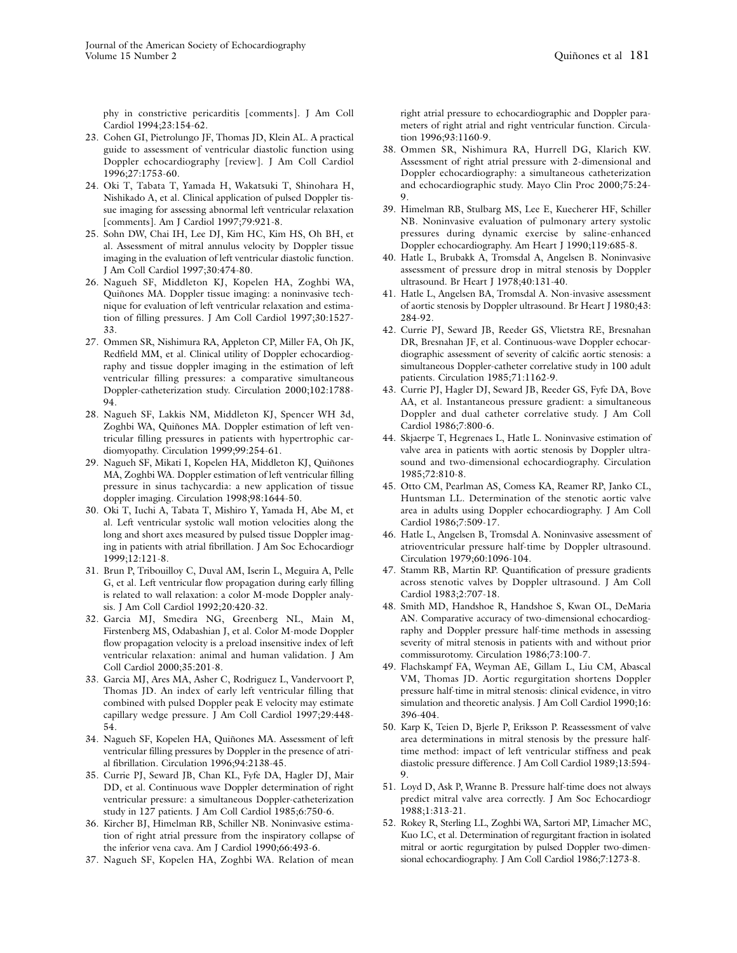phy in constrictive pericarditis [comments]. J Am Coll Cardiol 1994;23:154-62.

- 23. Cohen GI, Pietrolungo JF, Thomas JD, Klein AL. A practical guide to assessment of ventricular diastolic function using Doppler echocardiography [review]. J Am Coll Cardiol 1996;27:1753-60.
- 24. Oki T, Tabata T, Yamada H, Wakatsuki T, Shinohara H, Nishikado A, et al. Clinical application of pulsed Doppler tissue imaging for assessing abnormal left ventricular relaxation [comments]. Am J Cardiol 1997;79:921-8.
- 25. Sohn DW, Chai IH, Lee DJ, Kim HC, Kim HS, Oh BH, et al. Assessment of mitral annulus velocity by Doppler tissue imaging in the evaluation of left ventricular diastolic function. J Am Coll Cardiol 1997;30:474-80.
- 26. Nagueh SF, Middleton KJ, Kopelen HA, Zoghbi WA, Quiñones MA. Doppler tissue imaging: a noninvasive technique for evaluation of left ventricular relaxation and estimation of filling pressures. J Am Coll Cardiol 1997;30:1527- 33.
- 27. Ommen SR, Nishimura RA, Appleton CP, Miller FA, Oh JK, Redfield MM, et al. Clinical utility of Doppler echocardiography and tissue doppler imaging in the estimation of left ventricular filling pressures: a comparative simultaneous Doppler-catheterization study. Circulation 2000;102:1788- 94.
- 28. Nagueh SF, Lakkis NM, Middleton KJ, Spencer WH 3d, Zoghbi WA, Quiñones MA. Doppler estimation of left ventricular filling pressures in patients with hypertrophic cardiomyopathy. Circulation 1999;99:254-61.
- 29. Nagueh SF, Mikati I, Kopelen HA, Middleton KJ, Quiñones MA, Zoghbi WA. Doppler estimation of left ventricular filling pressure in sinus tachycardia: a new application of tissue doppler imaging. Circulation 1998;98:1644-50.
- 30. Oki T, Iuchi A, Tabata T, Mishiro Y, Yamada H, Abe M, et al. Left ventricular systolic wall motion velocities along the long and short axes measured by pulsed tissue Doppler imaging in patients with atrial fibrillation. J Am Soc Echocardiogr 1999;12:121-8.
- 31. Brun P, Tribouilloy C, Duval AM, Iserin L, Meguira A, Pelle G, et al. Left ventricular flow propagation during early filling is related to wall relaxation: a color M-mode Doppler analysis. J Am Coll Cardiol 1992;20:420-32.
- 32. Garcia MJ, Smedira NG, Greenberg NL, Main M, Firstenberg MS, Odabashian J, et al. Color M-mode Doppler flow propagation velocity is a preload insensitive index of left ventricular relaxation: animal and human validation. J Am Coll Cardiol 2000;35:201-8.
- 33. Garcia MJ, Ares MA, Asher C, Rodriguez L, Vandervoort P, Thomas JD. An index of early left ventricular filling that combined with pulsed Doppler peak E velocity may estimate capillary wedge pressure. J Am Coll Cardiol 1997;29:448- 54.
- 34. Nagueh SF, Kopelen HA, Quiñones MA. Assessment of left ventricular filling pressures by Doppler in the presence of atrial fibrillation. Circulation 1996;94:2138-45.
- 35. Currie PJ, Seward JB, Chan KL, Fyfe DA, Hagler DJ, Mair DD, et al. Continuous wave Doppler determination of right ventricular pressure: a simultaneous Doppler-catheterization study in 127 patients. J Am Coll Cardiol 1985;6:750-6.
- 36. Kircher BJ, Himelman RB, Schiller NB. Noninvasive estimation of right atrial pressure from the inspiratory collapse of the inferior vena cava. Am J Cardiol 1990;66:493-6.
- 37. Nagueh SF, Kopelen HA, Zoghbi WA. Relation of mean

right atrial pressure to echocardiographic and Doppler parameters of right atrial and right ventricular function. Circulation 1996;93:1160-9.

- 38. Ommen SR, Nishimura RA, Hurrell DG, Klarich KW. Assessment of right atrial pressure with 2-dimensional and Doppler echocardiography: a simultaneous catheterization and echocardiographic study. Mayo Clin Proc 2000;75:24- 9.
- 39. Himelman RB, Stulbarg MS, Lee E, Kuecherer HF, Schiller NB. Noninvasive evaluation of pulmonary artery systolic pressures during dynamic exercise by saline-enhanced Doppler echocardiography. Am Heart J 1990;119:685-8.
- 40. Hatle L, Brubakk A, Tromsdal A, Angelsen B. Noninvasive assessment of pressure drop in mitral stenosis by Doppler ultrasound. Br Heart J 1978;40:131-40.
- 41. Hatle L, Angelsen BA, Tromsdal A. Non-invasive assessment of aortic stenosis by Doppler ultrasound. Br Heart J 1980;43: 284-92.
- 42. Currie PJ, Seward JB, Reeder GS, Vlietstra RE, Bresnahan DR, Bresnahan JF, et al. Continuous-wave Doppler echocardiographic assessment of severity of calcific aortic stenosis: a simultaneous Doppler-catheter correlative study in 100 adult patients. Circulation 1985;71:1162-9.
- 43. Currie PJ, Hagler DJ, Seward JB, Reeder GS, Fyfe DA, Bove AA, et al. Instantaneous pressure gradient: a simultaneous Doppler and dual catheter correlative study. J Am Coll Cardiol 1986;7:800-6.
- 44. Skjaerpe T, Hegrenaes L, Hatle L. Noninvasive estimation of valve area in patients with aortic stenosis by Doppler ultrasound and two-dimensional echocardiography. Circulation 1985;72:810-8.
- 45. Otto CM, Pearlman AS, Comess KA, Reamer RP, Janko CL, Huntsman LL. Determination of the stenotic aortic valve area in adults using Doppler echocardiography. J Am Coll Cardiol 1986;7:509-17.
- 46. Hatle L, Angelsen B, Tromsdal A. Noninvasive assessment of atrioventricular pressure half-time by Doppler ultrasound. Circulation 1979;60:1096-104.
- 47. Stamm RB, Martin RP. Quantification of pressure gradients across stenotic valves by Doppler ultrasound. J Am Coll Cardiol 1983;2:707-18.
- 48. Smith MD, Handshoe R, Handshoe S, Kwan OL, DeMaria AN. Comparative accuracy of two-dimensional echocardiography and Doppler pressure half-time methods in assessing severity of mitral stenosis in patients with and without prior commissurotomy. Circulation 1986;73:100-7.
- 49. Flachskampf FA, Weyman AE, Gillam L, Liu CM, Abascal VM, Thomas JD. Aortic regurgitation shortens Doppler pressure half-time in mitral stenosis: clinical evidence, in vitro simulation and theoretic analysis. J Am Coll Cardiol 1990;16: 396-404.
- 50. Karp K, Teien D, Bjerle P, Eriksson P. Reassessment of valve area determinations in mitral stenosis by the pressure halftime method: impact of left ventricular stiffness and peak diastolic pressure difference. J Am Coll Cardiol 1989;13:594- 9.
- 51. Loyd D, Ask P, Wranne B. Pressure half-time does not always predict mitral valve area correctly. J Am Soc Echocardiogr 1988;1:313-21.
- 52. Rokey R, Sterling LL, Zoghbi WA, Sartori MP, Limacher MC, Kuo LC, et al. Determination of regurgitant fraction in isolated mitral or aortic regurgitation by pulsed Doppler two-dimensional echocardiography. J Am Coll Cardiol 1986;7:1273-8.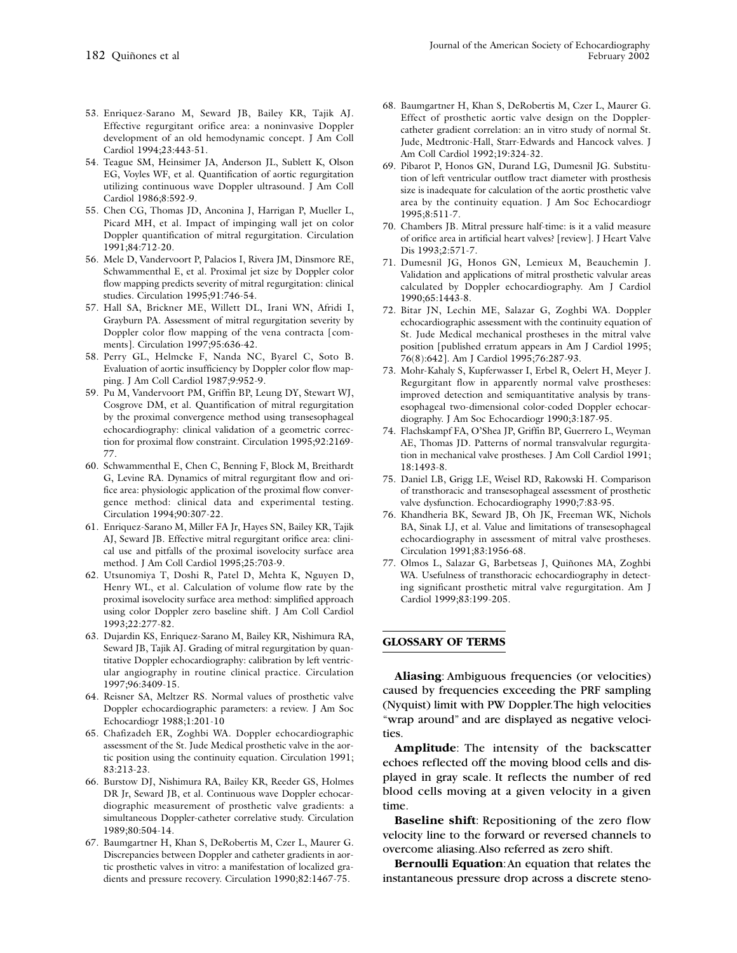- 53. Enriquez-Sarano M, Seward JB, Bailey KR, Tajik AJ. Effective regurgitant orifice area: a noninvasive Doppler development of an old hemodynamic concept. J Am Coll Cardiol 1994;23:443-51.
- 54. Teague SM, Heinsimer JA, Anderson JL, Sublett K, Olson EG, Voyles WF, et al. Quantification of aortic regurgitation utilizing continuous wave Doppler ultrasound. J Am Coll Cardiol 1986;8:592-9.
- 55. Chen CG, Thomas JD, Anconina J, Harrigan P, Mueller L, Picard MH, et al. Impact of impinging wall jet on color Doppler quantification of mitral regurgitation. Circulation 1991;84:712-20.
- 56. Mele D, Vandervoort P, Palacios I, Rivera JM, Dinsmore RE, Schwammenthal E, et al. Proximal jet size by Doppler color flow mapping predicts severity of mitral regurgitation: clinical studies. Circulation 1995;91:746-54.
- 57. Hall SA, Brickner ME, Willett DL, Irani WN, Afridi I, Grayburn PA. Assessment of mitral regurgitation severity by Doppler color flow mapping of the vena contracta [comments]. Circulation 1997;95:636-42.
- 58. Perry GL, Helmcke F, Nanda NC, Byarel C, Soto B. Evaluation of aortic insufficiency by Doppler color flow mapping. J Am Coll Cardiol 1987;9:952-9.
- 59. Pu M, Vandervoort PM, Griffin BP, Leung DY, Stewart WJ, Cosgrove DM, et al. Quantification of mitral regurgitation by the proximal convergence method using transesophageal echocardiography: clinical validation of a geometric correction for proximal flow constraint. Circulation 1995;92:2169- 77.
- 60. Schwammenthal E, Chen C, Benning F, Block M, Breithardt G, Levine RA. Dynamics of mitral regurgitant flow and orifice area: physiologic application of the proximal flow convergence method: clinical data and experimental testing. Circulation 1994;90:307-22.
- 61. Enriquez-Sarano M, Miller FA Jr, Hayes SN, Bailey KR, Tajik AJ, Seward JB. Effective mitral regurgitant orifice area: clinical use and pitfalls of the proximal isovelocity surface area method. J Am Coll Cardiol 1995;25:703-9.
- 62. Utsunomiya T, Doshi R, Patel D, Mehta K, Nguyen D, Henry WL, et al. Calculation of volume flow rate by the proximal isovelocity surface area method: simplified approach using color Doppler zero baseline shift. J Am Coll Cardiol 1993;22:277-82.
- 63. Dujardin KS, Enriquez-Sarano M, Bailey KR, Nishimura RA, Seward JB, Tajik AJ. Grading of mitral regurgitation by quantitative Doppler echocardiography: calibration by left ventricular angiography in routine clinical practice. Circulation 1997;96:3409-15.
- 64. Reisner SA, Meltzer RS. Normal values of prosthetic valve Doppler echocardiographic parameters: a review. J Am Soc Echocardiogr 1988;1:201-10
- 65. Chafizadeh ER, Zoghbi WA. Doppler echocardiographic assessment of the St. Jude Medical prosthetic valve in the aortic position using the continuity equation. Circulation 1991; 83:213-23.
- 66. Burstow DJ, Nishimura RA, Bailey KR, Reeder GS, Holmes DR Jr, Seward JB, et al. Continuous wave Doppler echocardiographic measurement of prosthetic valve gradients: a simultaneous Doppler-catheter correlative study. Circulation 1989;80:504-14.
- 67. Baumgartner H, Khan S, DeRobertis M, Czer L, Maurer G. Discrepancies between Doppler and catheter gradients in aortic prosthetic valves in vitro: a manifestation of localized gradients and pressure recovery. Circulation 1990;82:1467-75.
- 68. Baumgartner H, Khan S, DeRobertis M, Czer L, Maurer G. Effect of prosthetic aortic valve design on the Dopplercatheter gradient correlation: an in vitro study of normal St. Jude, Medtronic-Hall, Starr-Edwards and Hancock valves. J Am Coll Cardiol 1992;19:324-32.
- 69. Pibarot P, Honos GN, Durand LG, Dumesnil JG. Substitution of left ventricular outflow tract diameter with prosthesis size is inadequate for calculation of the aortic prosthetic valve area by the continuity equation. J Am Soc Echocardiogr 1995;8:511-7.
- 70. Chambers JB. Mitral pressure half-time: is it a valid measure of orifice area in artificial heart valves? [review]. J Heart Valve Dis 1993;2:571-7.
- 71. Dumesnil JG, Honos GN, Lemieux M, Beauchemin J. Validation and applications of mitral prosthetic valvular areas calculated by Doppler echocardiography. Am J Cardiol 1990;65:1443-8.
- 72. Bitar JN, Lechin ME, Salazar G, Zoghbi WA. Doppler echocardiographic assessment with the continuity equation of St. Jude Medical mechanical prostheses in the mitral valve position [published erratum appears in Am J Cardiol 1995; 76(8):642]. Am J Cardiol 1995;76:287-93.
- 73. Mohr-Kahaly S, Kupferwasser I, Erbel R, Oelert H, Meyer J. Regurgitant flow in apparently normal valve prostheses: improved detection and semiquantitative analysis by transesophageal two-dimensional color-coded Doppler echocardiography. J Am Soc Echocardiogr 1990;3:187-95.
- 74. Flachskampf FA, O'Shea JP, Griffin BP, Guerrero L, Weyman AE, Thomas JD. Patterns of normal transvalvular regurgitation in mechanical valve prostheses. J Am Coll Cardiol 1991; 18:1493-8.
- 75. Daniel LB, Grigg LE, Weisel RD, Rakowski H. Comparison of transthoracic and transesophageal assessment of prosthetic valve dysfunction. Echocardiography 1990;7:83-95.
- 76. Khandheria BK, Seward JB, Oh JK, Freeman WK, Nichols BA, Sinak LJ, et al. Value and limitations of transesophageal echocardiography in assessment of mitral valve prostheses. Circulation 1991;83:1956-68.
- 77. Olmos L, Salazar G, Barbetseas J, Quiñones MA, Zoghbi WA. Usefulness of transthoracic echocardiography in detecting significant prosthetic mitral valve regurgitation. Am J Cardiol 1999;83:199-205.

#### **GLOSSARY OF TERMS**

**Aliasing**: Ambiguous frequencies (or velocities) caused by frequencies exceeding the PRF sampling (Nyquist) limit with PW Doppler.The high velocities "wrap around" and are displayed as negative velocities.

**Amplitude**: The intensity of the backscatter echoes reflected off the moving blood cells and displayed in gray scale. It reflects the number of red blood cells moving at a given velocity in a given time.

**Baseline shift**: Repositioning of the zero flow velocity line to the forward or reversed channels to overcome aliasing.Also referred as zero shift.

**Bernoulli Equation**:An equation that relates the instantaneous pressure drop across a discrete steno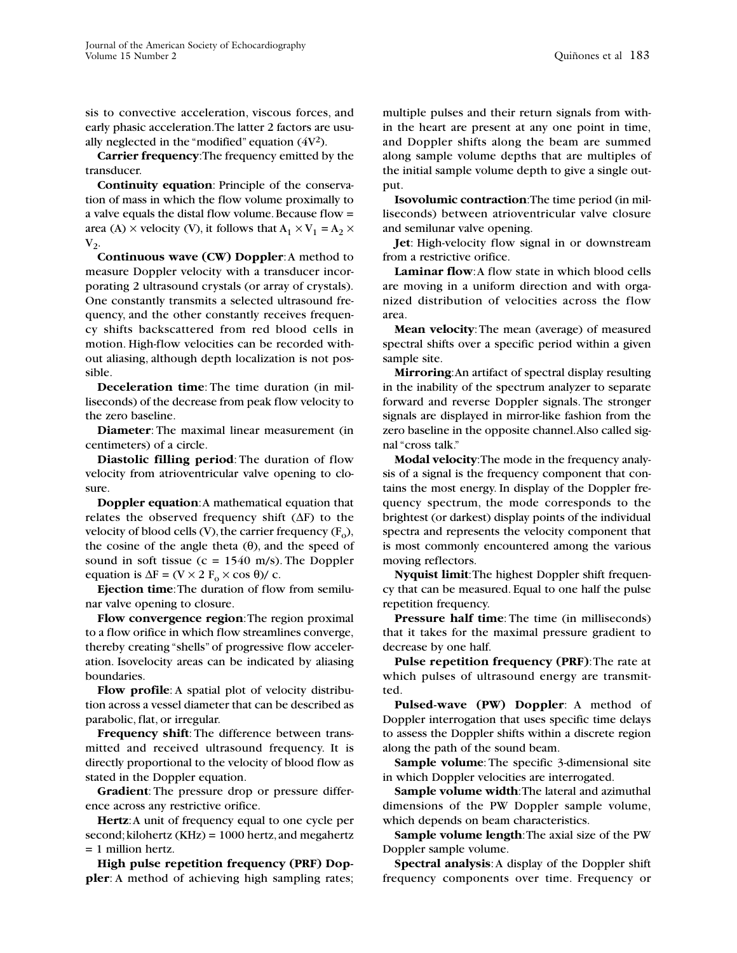sis to convective acceleration, viscous forces, and early phasic acceleration.The latter 2 factors are usually neglected in the "modified" equation  $(4V^2)$ .

**Carrier frequency**:The frequency emitted by the transducer.

**Continuity equation**: Principle of the conservation of mass in which the flow volume proximally to a valve equals the distal flow volume. Because flow = area (A)  $\times$  velocity (V), it follows that  $A_1 \times V_1 = A_2 \times$  $V_2$ .

**Continuous wave (CW) Doppler**:A method to measure Doppler velocity with a transducer incorporating 2 ultrasound crystals (or array of crystals). One constantly transmits a selected ultrasound frequency, and the other constantly receives frequency shifts backscattered from red blood cells in motion. High-flow velocities can be recorded without aliasing, although depth localization is not possible.

**Deceleration time**: The time duration (in milliseconds) of the decrease from peak flow velocity to the zero baseline.

**Diameter**: The maximal linear measurement (in centimeters) of a circle.

**Diastolic filling period**: The duration of flow velocity from atrioventricular valve opening to closure.

**Doppler equation**:A mathematical equation that relates the observed frequency shift (∆F) to the velocity of blood cells (V), the carrier frequency  $(F_0)$ , the cosine of the angle theta  $(θ)$ , and the speed of sound in soft tissue ( $c = 1540$  m/s). The Doppler equation is  $\Delta F = (V \times 2 F_0 \times \cos \theta)/c$ .

**Ejection time**:The duration of flow from semilunar valve opening to closure.

**Flow convergence region**:The region proximal to a flow orifice in which flow streamlines converge, thereby creating "shells" of progressive flow acceleration. Isovelocity areas can be indicated by aliasing boundaries.

**Flow profile**: A spatial plot of velocity distribution across a vessel diameter that can be described as parabolic, flat, or irregular.

**Frequency shift**: The difference between transmitted and received ultrasound frequency. It is directly proportional to the velocity of blood flow as stated in the Doppler equation.

**Gradient**: The pressure drop or pressure difference across any restrictive orifice.

**Hertz**:A unit of frequency equal to one cycle per second;kilohertz (KHz) = 1000 hertz,and megahertz = 1 million hertz.

**High pulse repetition frequency (PRF) Doppler**: A method of achieving high sampling rates;

multiple pulses and their return signals from within the heart are present at any one point in time, and Doppler shifts along the beam are summed along sample volume depths that are multiples of the initial sample volume depth to give a single output.

**Isovolumic contraction**:The time period (in milliseconds) between atrioventricular valve closure and semilunar valve opening.

**Jet**: High-velocity flow signal in or downstream from a restrictive orifice.

**Laminar flow**:A flow state in which blood cells are moving in a uniform direction and with organized distribution of velocities across the flow area.

**Mean velocity**:The mean (average) of measured spectral shifts over a specific period within a given sample site.

**Mirroring**:An artifact of spectral display resulting in the inability of the spectrum analyzer to separate forward and reverse Doppler signals. The stronger signals are displayed in mirror-like fashion from the zero baseline in the opposite channel.Also called signal "cross talk."

**Modal velocity**:The mode in the frequency analysis of a signal is the frequency component that contains the most energy. In display of the Doppler frequency spectrum, the mode corresponds to the brightest (or darkest) display points of the individual spectra and represents the velocity component that is most commonly encountered among the various moving reflectors.

**Nyquist limit**:The highest Doppler shift frequency that can be measured. Equal to one half the pulse repetition frequency.

**Pressure half time**: The time (in milliseconds) that it takes for the maximal pressure gradient to decrease by one half.

**Pulse repetition frequency (PRF)**:The rate at which pulses of ultrasound energy are transmitted.

**Pulsed-wave (PW) Doppler**: A method of Doppler interrogation that uses specific time delays to assess the Doppler shifts within a discrete region along the path of the sound beam.

**Sample volume**: The specific 3-dimensional site in which Doppler velocities are interrogated.

**Sample volume width**:The lateral and azimuthal dimensions of the PW Doppler sample volume, which depends on beam characteristics.

**Sample volume length**:The axial size of the PW Doppler sample volume.

**Spectral analysis**:A display of the Doppler shift frequency components over time. Frequency or